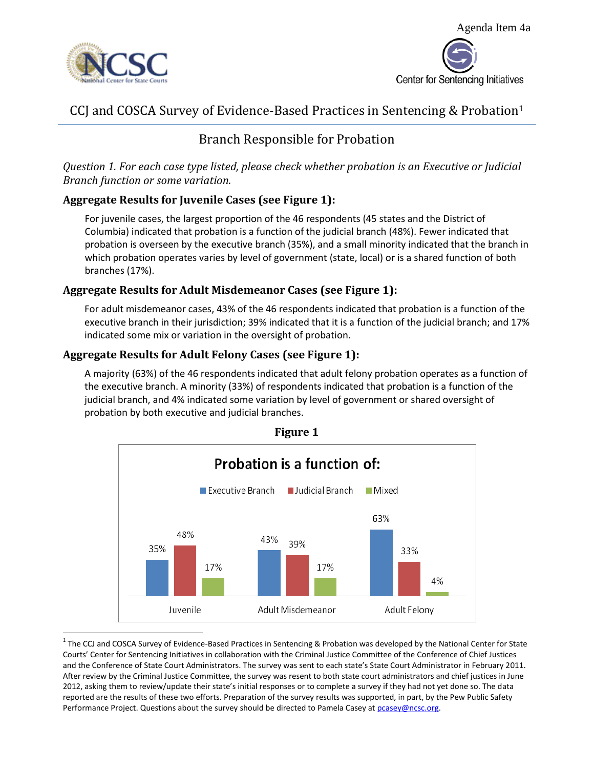



# CCJ and COSCA Survey of Evidence-Based Practices in Sentencing & Probation<sup>1</sup>

## Branch Responsible for Probation

*Question 1. For each case type listed, please check whether probation is an Executive or Judicial Branch function or some variation.*

## **Aggregate Results for Juvenile Cases (see Figure 1):**

For juvenile cases, the largest proportion of the 46 respondents (45 states and the District of Columbia) indicated that probation is a function of the judicial branch (48%). Fewer indicated that probation is overseen by the executive branch (35%), and a small minority indicated that the branch in which probation operates varies by level of government (state, local) or is a shared function of both branches (17%).

#### **Aggregate Results for Adult Misdemeanor Cases (see Figure 1):**

For adult misdemeanor cases, 43% of the 46 respondents indicated that probation is a function of the executive branch in their jurisdiction; 39% indicated that it is a function of the judicial branch; and 17% indicated some mix or variation in the oversight of probation.

## **Aggregate Results for Adult Felony Cases (see Figure 1):**

A majority (63%) of the 46 respondents indicated that adult felony probation operates as a function of the executive branch. A minority (33%) of respondents indicated that probation is a function of the judicial branch, and 4% indicated some variation by level of government or shared oversight of probation by both executive and judicial branches.



 $\overline{a}$ <sup>1</sup> The CCJ and COSCA Survey of Evidence-Based Practices in Sentencing & Probation was developed by the National Center for State Courts' Center for Sentencing Initiatives in collaboration with the Criminal Justice Committee of the Conference of Chief Justices and the Conference of State Court Administrators. The survey was sent to each state's State Court Administrator in February 2011. After review by the Criminal Justice Committee, the survey was resent to both state court administrators and chief justices in June 2012, asking them to review/update their state's initial responses or to complete a survey if they had not yet done so. The data reported are the results of these two efforts. Preparation of the survey results was supported, in part, by the Pew Public Safety Performance Project. Questions about the survey should be directed to Pamela Casey at pcasey@ncsc.org.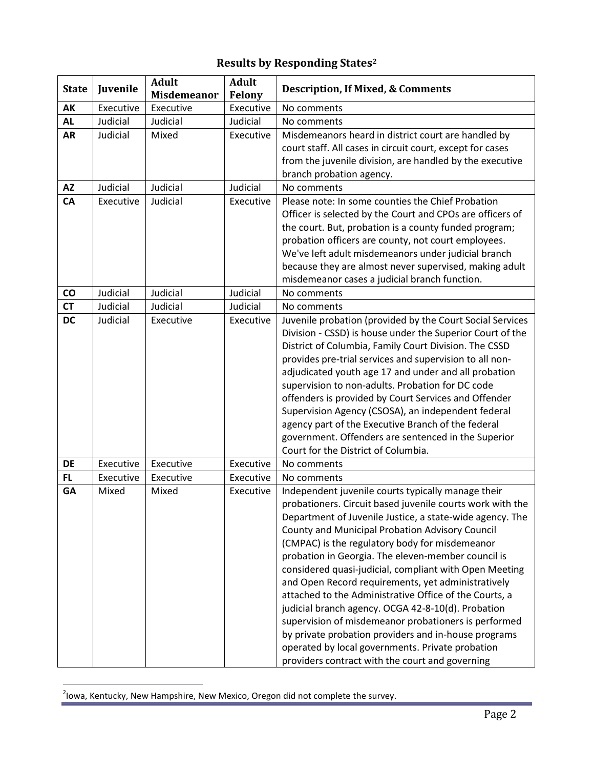# **Results by Responding States<sup>2</sup>**

| <b>State</b>    | Juvenile  | <b>Adult</b><br><b>Misdemeanor</b> | <b>Adult</b><br><b>Felony</b> | <b>Description, If Mixed, &amp; Comments</b>                                                                                                                                                                                                                                                                                                                                                                                                                                                                                                                                                                                                                                                                                                                                                  |
|-----------------|-----------|------------------------------------|-------------------------------|-----------------------------------------------------------------------------------------------------------------------------------------------------------------------------------------------------------------------------------------------------------------------------------------------------------------------------------------------------------------------------------------------------------------------------------------------------------------------------------------------------------------------------------------------------------------------------------------------------------------------------------------------------------------------------------------------------------------------------------------------------------------------------------------------|
| AK              | Executive | Executive                          | Executive                     | No comments                                                                                                                                                                                                                                                                                                                                                                                                                                                                                                                                                                                                                                                                                                                                                                                   |
| <b>AL</b>       | Judicial  | Judicial                           | Judicial                      | No comments                                                                                                                                                                                                                                                                                                                                                                                                                                                                                                                                                                                                                                                                                                                                                                                   |
| <b>AR</b>       | Judicial  | Mixed                              | Executive                     | Misdemeanors heard in district court are handled by<br>court staff. All cases in circuit court, except for cases<br>from the juvenile division, are handled by the executive<br>branch probation agency.                                                                                                                                                                                                                                                                                                                                                                                                                                                                                                                                                                                      |
| <b>AZ</b>       | Judicial  | Judicial                           | Judicial                      | No comments                                                                                                                                                                                                                                                                                                                                                                                                                                                                                                                                                                                                                                                                                                                                                                                   |
| <b>CA</b>       | Executive | Judicial                           | Executive                     | Please note: In some counties the Chief Probation<br>Officer is selected by the Court and CPOs are officers of<br>the court. But, probation is a county funded program;<br>probation officers are county, not court employees.<br>We've left adult misdemeanors under judicial branch<br>because they are almost never supervised, making adult<br>misdemeanor cases a judicial branch function.                                                                                                                                                                                                                                                                                                                                                                                              |
| $\mathsf{co}\,$ | Judicial  | Judicial                           | Judicial                      | No comments                                                                                                                                                                                                                                                                                                                                                                                                                                                                                                                                                                                                                                                                                                                                                                                   |
| <b>CT</b>       | Judicial  | Judicial                           | Judicial                      | No comments                                                                                                                                                                                                                                                                                                                                                                                                                                                                                                                                                                                                                                                                                                                                                                                   |
| <b>DC</b>       | Judicial  | Executive                          | Executive                     | Juvenile probation (provided by the Court Social Services<br>Division - CSSD) is house under the Superior Court of the<br>District of Columbia, Family Court Division. The CSSD<br>provides pre-trial services and supervision to all non-<br>adjudicated youth age 17 and under and all probation<br>supervision to non-adults. Probation for DC code<br>offenders is provided by Court Services and Offender<br>Supervision Agency (CSOSA), an independent federal<br>agency part of the Executive Branch of the federal<br>government. Offenders are sentenced in the Superior<br>Court for the District of Columbia.                                                                                                                                                                      |
| <b>DE</b>       | Executive | Executive                          | Executive                     | No comments                                                                                                                                                                                                                                                                                                                                                                                                                                                                                                                                                                                                                                                                                                                                                                                   |
| <b>FL</b>       | Executive | Executive                          | Executive                     | No comments                                                                                                                                                                                                                                                                                                                                                                                                                                                                                                                                                                                                                                                                                                                                                                                   |
| <b>GA</b>       | Mixed     | Mixed                              | Executive                     | Independent juvenile courts typically manage their<br>probationers. Circuit based juvenile courts work with the<br>Department of Juvenile Justice, a state-wide agency. The<br>County and Municipal Probation Advisory Council<br>(CMPAC) is the regulatory body for misdemeanor<br>probation in Georgia. The eleven-member council is<br>considered quasi-judicial, compliant with Open Meeting<br>and Open Record requirements, yet administratively<br>attached to the Administrative Office of the Courts, a<br>judicial branch agency. OCGA 42-8-10(d). Probation<br>supervision of misdemeanor probationers is performed<br>by private probation providers and in-house programs<br>operated by local governments. Private probation<br>providers contract with the court and governing |

 2 Iowa, Kentucky, New Hampshire, New Mexico, Oregon did not complete the survey.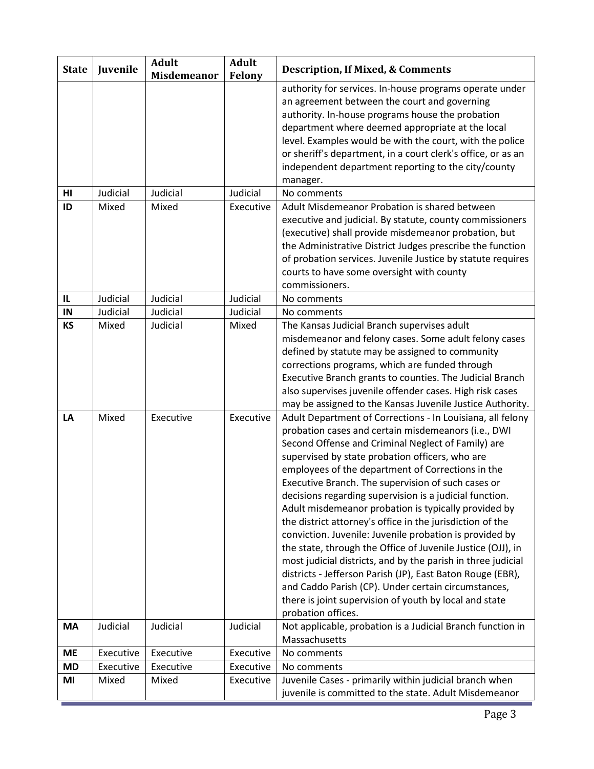| <b>State</b>    | Juvenile       | <b>Adult</b><br>Misdemeanor | <b>Adult</b><br>Felony | <b>Description, If Mixed, &amp; Comments</b>                                                                                                                                                                                                                                                                                                                                                                                                                                                                                                                                                                                                                                                                                                                                                                                                           |
|-----------------|----------------|-----------------------------|------------------------|--------------------------------------------------------------------------------------------------------------------------------------------------------------------------------------------------------------------------------------------------------------------------------------------------------------------------------------------------------------------------------------------------------------------------------------------------------------------------------------------------------------------------------------------------------------------------------------------------------------------------------------------------------------------------------------------------------------------------------------------------------------------------------------------------------------------------------------------------------|
|                 |                |                             |                        | authority for services. In-house programs operate under<br>an agreement between the court and governing<br>authority. In-house programs house the probation<br>department where deemed appropriate at the local<br>level. Examples would be with the court, with the police<br>or sheriff's department, in a court clerk's office, or as an<br>independent department reporting to the city/county<br>manager.                                                                                                                                                                                                                                                                                                                                                                                                                                         |
| HI              | Judicial       | Judicial                    | Judicial               | No comments                                                                                                                                                                                                                                                                                                                                                                                                                                                                                                                                                                                                                                                                                                                                                                                                                                            |
| ID              | Mixed          | Mixed                       | Executive              | Adult Misdemeanor Probation is shared between<br>executive and judicial. By statute, county commissioners<br>(executive) shall provide misdemeanor probation, but<br>the Administrative District Judges prescribe the function<br>of probation services. Juvenile Justice by statute requires<br>courts to have some oversight with county<br>commissioners.                                                                                                                                                                                                                                                                                                                                                                                                                                                                                           |
| $\mathsf{IL}$   | Judicial       | Judicial                    | Judicial               | No comments                                                                                                                                                                                                                                                                                                                                                                                                                                                                                                                                                                                                                                                                                                                                                                                                                                            |
| IN              | Judicial       | Judicial                    | Judicial               | No comments                                                                                                                                                                                                                                                                                                                                                                                                                                                                                                                                                                                                                                                                                                                                                                                                                                            |
| <b>KS</b><br>LA | Mixed<br>Mixed | Judicial<br>Executive       | Mixed<br>Executive     | The Kansas Judicial Branch supervises adult<br>misdemeanor and felony cases. Some adult felony cases<br>defined by statute may be assigned to community<br>corrections programs, which are funded through<br>Executive Branch grants to counties. The Judicial Branch<br>also supervises juvenile offender cases. High risk cases<br>may be assigned to the Kansas Juvenile Justice Authority.<br>Adult Department of Corrections - In Louisiana, all felony                                                                                                                                                                                                                                                                                                                                                                                           |
|                 |                |                             |                        | probation cases and certain misdemeanors (i.e., DWI<br>Second Offense and Criminal Neglect of Family) are<br>supervised by state probation officers, who are<br>employees of the department of Corrections in the<br>Executive Branch. The supervision of such cases or<br>decisions regarding supervision is a judicial function.<br>Adult misdemeanor probation is typically provided by<br>the district attorney's office in the jurisdiction of the<br>conviction. Juvenile: Juvenile probation is provided by<br>the state, through the Office of Juvenile Justice (OJJ), in<br>most judicial districts, and by the parish in three judicial<br>districts - Jefferson Parish (JP), East Baton Rouge (EBR),<br>and Caddo Parish (CP). Under certain circumstances,<br>there is joint supervision of youth by local and state<br>probation offices. |
| <b>MA</b>       | Judicial       | Judicial                    | Judicial               | Not applicable, probation is a Judicial Branch function in<br>Massachusetts                                                                                                                                                                                                                                                                                                                                                                                                                                                                                                                                                                                                                                                                                                                                                                            |
| <b>ME</b>       | Executive      | Executive                   | Executive              | No comments                                                                                                                                                                                                                                                                                                                                                                                                                                                                                                                                                                                                                                                                                                                                                                                                                                            |
| <b>MD</b>       | Executive      | Executive                   | Executive              | No comments                                                                                                                                                                                                                                                                                                                                                                                                                                                                                                                                                                                                                                                                                                                                                                                                                                            |
| MI              | Mixed          | Mixed                       | Executive              | Juvenile Cases - primarily within judicial branch when<br>juvenile is committed to the state. Adult Misdemeanor                                                                                                                                                                                                                                                                                                                                                                                                                                                                                                                                                                                                                                                                                                                                        |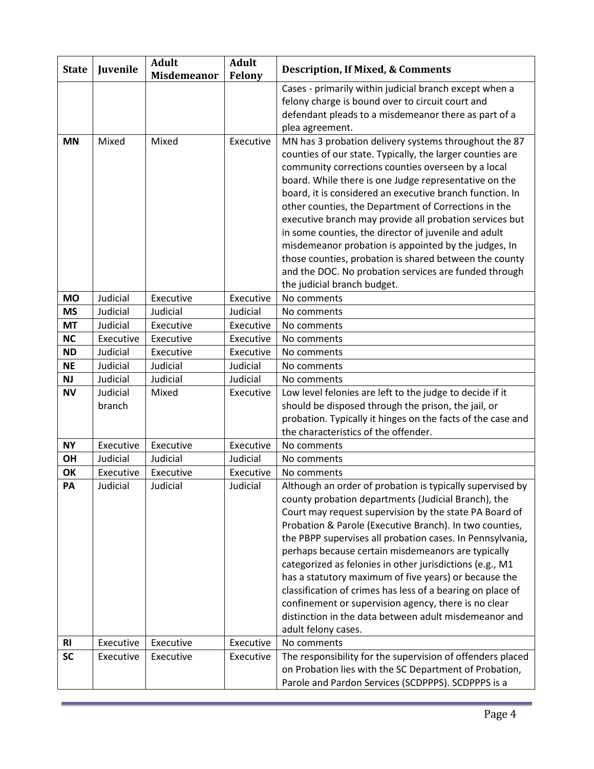| <b>State</b>   | Juvenile           | <b>Adult</b><br><b>Misdemeanor</b> | <b>Adult</b><br><b>Felony</b> | <b>Description, If Mixed, &amp; Comments</b>                                                                                                                                                                                                                                                                                                                                                                                                                                                                                                                                                                                                                                        |
|----------------|--------------------|------------------------------------|-------------------------------|-------------------------------------------------------------------------------------------------------------------------------------------------------------------------------------------------------------------------------------------------------------------------------------------------------------------------------------------------------------------------------------------------------------------------------------------------------------------------------------------------------------------------------------------------------------------------------------------------------------------------------------------------------------------------------------|
| <b>MN</b>      | Mixed              | Mixed                              | Executive                     | Cases - primarily within judicial branch except when a<br>felony charge is bound over to circuit court and<br>defendant pleads to a misdemeanor there as part of a<br>plea agreement.<br>MN has 3 probation delivery systems throughout the 87                                                                                                                                                                                                                                                                                                                                                                                                                                      |
|                |                    |                                    |                               | counties of our state. Typically, the larger counties are<br>community corrections counties overseen by a local<br>board. While there is one Judge representative on the<br>board, it is considered an executive branch function. In<br>other counties, the Department of Corrections in the<br>executive branch may provide all probation services but<br>in some counties, the director of juvenile and adult<br>misdemeanor probation is appointed by the judges, In<br>those counties, probation is shared between the county<br>and the DOC. No probation services are funded through<br>the judicial branch budget.                                                           |
| <b>MO</b>      | Judicial           | Executive                          | Executive                     | No comments                                                                                                                                                                                                                                                                                                                                                                                                                                                                                                                                                                                                                                                                         |
| <b>MS</b>      | Judicial           | Judicial                           | Judicial                      | No comments                                                                                                                                                                                                                                                                                                                                                                                                                                                                                                                                                                                                                                                                         |
| <b>MT</b>      | Judicial           | Executive                          | Executive                     | No comments                                                                                                                                                                                                                                                                                                                                                                                                                                                                                                                                                                                                                                                                         |
| <b>NC</b>      | Executive          | Executive                          | Executive                     | No comments                                                                                                                                                                                                                                                                                                                                                                                                                                                                                                                                                                                                                                                                         |
| <b>ND</b>      | Judicial           | Executive                          | Executive                     | No comments                                                                                                                                                                                                                                                                                                                                                                                                                                                                                                                                                                                                                                                                         |
| <b>NE</b>      | Judicial           | Judicial                           | Judicial                      | No comments                                                                                                                                                                                                                                                                                                                                                                                                                                                                                                                                                                                                                                                                         |
| <b>NJ</b>      | Judicial           | Judicial                           | Judicial                      | No comments                                                                                                                                                                                                                                                                                                                                                                                                                                                                                                                                                                                                                                                                         |
| <b>NV</b>      | Judicial<br>branch | Mixed                              | Executive                     | Low level felonies are left to the judge to decide if it<br>should be disposed through the prison, the jail, or<br>probation. Typically it hinges on the facts of the case and<br>the characteristics of the offender.                                                                                                                                                                                                                                                                                                                                                                                                                                                              |
| <b>NY</b>      | Executive          | Executive                          | Executive                     | No comments                                                                                                                                                                                                                                                                                                                                                                                                                                                                                                                                                                                                                                                                         |
| OH             | Judicial           | Judicial                           | Judicial                      | No comments                                                                                                                                                                                                                                                                                                                                                                                                                                                                                                                                                                                                                                                                         |
| OK             | Executive          | Executive                          | Executive                     | No comments                                                                                                                                                                                                                                                                                                                                                                                                                                                                                                                                                                                                                                                                         |
| PA             | Judicial           | Judicial                           | Judicial                      | Although an order of probation is typically supervised by<br>county probation departments (Judicial Branch), the<br>Court may request supervision by the state PA Board of<br>Probation & Parole (Executive Branch). In two counties,<br>the PBPP supervises all probation cases. In Pennsylvania,<br>perhaps because certain misdemeanors are typically<br>categorized as felonies in other jurisdictions (e.g., M1<br>has a statutory maximum of five years) or because the<br>classification of crimes has less of a bearing on place of<br>confinement or supervision agency, there is no clear<br>distinction in the data between adult misdemeanor and<br>adult felony cases. |
| R <sub>l</sub> | Executive          | Executive                          | Executive                     | No comments                                                                                                                                                                                                                                                                                                                                                                                                                                                                                                                                                                                                                                                                         |
| <b>SC</b>      | Executive          | Executive                          | Executive                     | The responsibility for the supervision of offenders placed<br>on Probation lies with the SC Department of Probation,<br>Parole and Pardon Services (SCDPPPS). SCDPPPS is a                                                                                                                                                                                                                                                                                                                                                                                                                                                                                                          |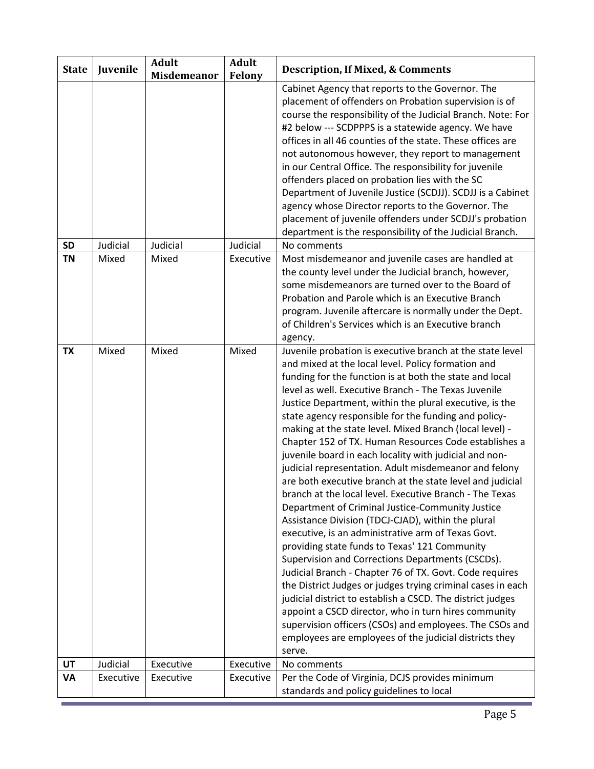| <b>State</b> | Juvenile  | <b>Adult</b><br><b>Misdemeanor</b> | <b>Adult</b><br>Felony | <b>Description, If Mixed, &amp; Comments</b>                                                                                                                                                                                                                                                                                                                                                                                                                                                                                                                                                                                                                                                                                                                                                                                                                                                                                                                                                                                                                                                                                                                                                                                                                                                                                                                             |
|--------------|-----------|------------------------------------|------------------------|--------------------------------------------------------------------------------------------------------------------------------------------------------------------------------------------------------------------------------------------------------------------------------------------------------------------------------------------------------------------------------------------------------------------------------------------------------------------------------------------------------------------------------------------------------------------------------------------------------------------------------------------------------------------------------------------------------------------------------------------------------------------------------------------------------------------------------------------------------------------------------------------------------------------------------------------------------------------------------------------------------------------------------------------------------------------------------------------------------------------------------------------------------------------------------------------------------------------------------------------------------------------------------------------------------------------------------------------------------------------------|
|              |           |                                    |                        | Cabinet Agency that reports to the Governor. The<br>placement of offenders on Probation supervision is of<br>course the responsibility of the Judicial Branch. Note: For<br>#2 below --- SCDPPPS is a statewide agency. We have<br>offices in all 46 counties of the state. These offices are<br>not autonomous however, they report to management<br>in our Central Office. The responsibility for juvenile<br>offenders placed on probation lies with the SC<br>Department of Juvenile Justice (SCDJJ). SCDJJ is a Cabinet<br>agency whose Director reports to the Governor. The<br>placement of juvenile offenders under SCDJJ's probation<br>department is the responsibility of the Judicial Branch.                                                                                                                                                                                                                                                                                                                                                                                                                                                                                                                                                                                                                                                                |
| <b>SD</b>    | Judicial  | Judicial                           | Judicial               | No comments                                                                                                                                                                                                                                                                                                                                                                                                                                                                                                                                                                                                                                                                                                                                                                                                                                                                                                                                                                                                                                                                                                                                                                                                                                                                                                                                                              |
| <b>TN</b>    | Mixed     | Mixed                              | Executive              | Most misdemeanor and juvenile cases are handled at<br>the county level under the Judicial branch, however,<br>some misdemeanors are turned over to the Board of<br>Probation and Parole which is an Executive Branch<br>program. Juvenile aftercare is normally under the Dept.<br>of Children's Services which is an Executive branch<br>agency.                                                                                                                                                                                                                                                                                                                                                                                                                                                                                                                                                                                                                                                                                                                                                                                                                                                                                                                                                                                                                        |
| <b>TX</b>    | Mixed     | Mixed                              | Mixed                  | Juvenile probation is executive branch at the state level<br>and mixed at the local level. Policy formation and<br>funding for the function is at both the state and local<br>level as well. Executive Branch - The Texas Juvenile<br>Justice Department, within the plural executive, is the<br>state agency responsible for the funding and policy-<br>making at the state level. Mixed Branch (local level) -<br>Chapter 152 of TX. Human Resources Code establishes a<br>juvenile board in each locality with judicial and non-<br>judicial representation. Adult misdemeanor and felony<br>are both executive branch at the state level and judicial<br>branch at the local level. Executive Branch - The Texas<br>Department of Criminal Justice-Community Justice<br>Assistance Division (TDCJ-CJAD), within the plural<br>executive, is an administrative arm of Texas Govt.<br>providing state funds to Texas' 121 Community<br>Supervision and Corrections Departments (CSCDs).<br>Judicial Branch - Chapter 76 of TX. Govt. Code requires<br>the District Judges or judges trying criminal cases in each<br>judicial district to establish a CSCD. The district judges<br>appoint a CSCD director, who in turn hires community<br>supervision officers (CSOs) and employees. The CSOs and<br>employees are employees of the judicial districts they<br>serve. |
| UT           | Judicial  | Executive                          | Executive              | No comments                                                                                                                                                                                                                                                                                                                                                                                                                                                                                                                                                                                                                                                                                                                                                                                                                                                                                                                                                                                                                                                                                                                                                                                                                                                                                                                                                              |
| <b>VA</b>    | Executive | Executive                          | Executive              | Per the Code of Virginia, DCJS provides minimum<br>standards and policy guidelines to local                                                                                                                                                                                                                                                                                                                                                                                                                                                                                                                                                                                                                                                                                                                                                                                                                                                                                                                                                                                                                                                                                                                                                                                                                                                                              |